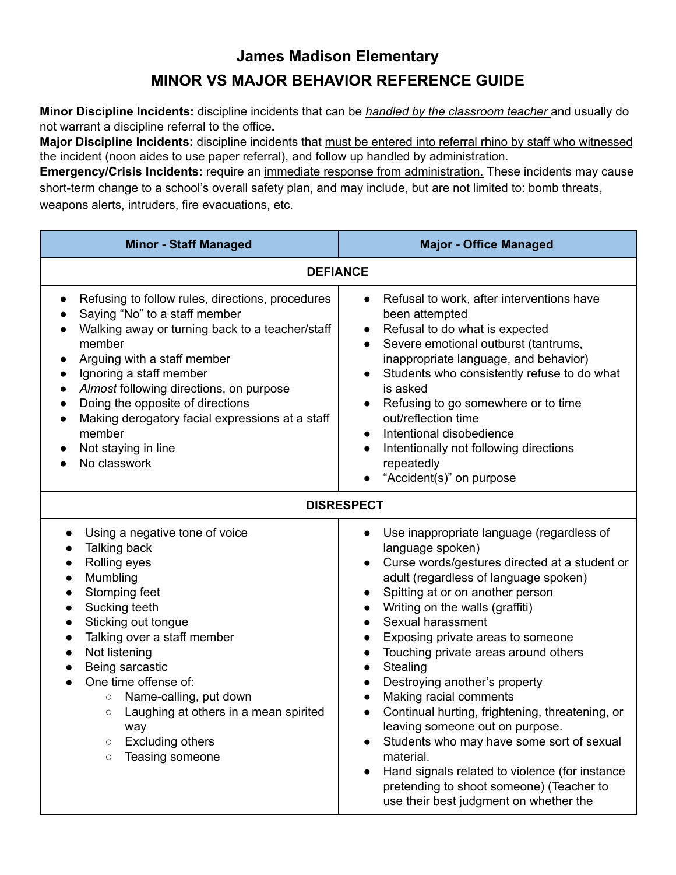## **James Madison Elementary MINOR VS MAJOR BEHAVIOR REFERENCE GUIDE**

**Minor Discipline Incidents:** discipline incidents that can be *handled by the classroom teacher* and usually do not warrant a discipline referral to the office**.**

**Major Discipline Incidents:** discipline incidents that must be entered into referral rhino by staff who witnessed the incident (noon aides to use paper referral), and follow up handled by administration.

**Emergency/Crisis Incidents:** require an immediate response from administration. These incidents may cause short-term change to a school's overall safety plan, and may include, but are not limited to: bomb threats, weapons alerts, intruders, fire evacuations, etc.

| <b>Minor - Staff Managed</b>                                                                                                                                                                                                                                                                                                                                                                                         | <b>Major - Office Managed</b>                                                                                                                                                                                                                                                                                                                                                                                                                                                                                                                                                                                                                                                                                |
|----------------------------------------------------------------------------------------------------------------------------------------------------------------------------------------------------------------------------------------------------------------------------------------------------------------------------------------------------------------------------------------------------------------------|--------------------------------------------------------------------------------------------------------------------------------------------------------------------------------------------------------------------------------------------------------------------------------------------------------------------------------------------------------------------------------------------------------------------------------------------------------------------------------------------------------------------------------------------------------------------------------------------------------------------------------------------------------------------------------------------------------------|
| <b>DEFIANCE</b>                                                                                                                                                                                                                                                                                                                                                                                                      |                                                                                                                                                                                                                                                                                                                                                                                                                                                                                                                                                                                                                                                                                                              |
| Refusing to follow rules, directions, procedures<br>Saying "No" to a staff member<br>Walking away or turning back to a teacher/staff<br>member<br>Arguing with a staff member<br>Ignoring a staff member<br>Almost following directions, on purpose<br>Doing the opposite of directions<br>Making derogatory facial expressions at a staff<br>member<br>Not staying in line<br>No classwork                          | Refusal to work, after interventions have<br>$\bullet$<br>been attempted<br>Refusal to do what is expected<br>Severe emotional outburst (tantrums,<br>inappropriate language, and behavior)<br>Students who consistently refuse to do what<br>is asked<br>Refusing to go somewhere or to time<br>out/reflection time<br>Intentional disobedience<br>Intentionally not following directions<br>repeatedly<br>"Accident(s)" on purpose                                                                                                                                                                                                                                                                         |
| <b>DISRESPECT</b>                                                                                                                                                                                                                                                                                                                                                                                                    |                                                                                                                                                                                                                                                                                                                                                                                                                                                                                                                                                                                                                                                                                                              |
| Using a negative tone of voice<br>Talking back<br>Rolling eyes<br>Mumbling<br>Stomping feet<br>Sucking teeth<br>Sticking out tongue<br>Talking over a staff member<br>Not listening<br>Being sarcastic<br>One time offense of:<br>Name-calling, put down<br>$\circ$<br>Laughing at others in a mean spirited<br>O<br>way<br><b>Excluding others</b><br>$\circlearrowright$<br>Teasing someone<br>$\circlearrowright$ | Use inappropriate language (regardless of<br>language spoken)<br>Curse words/gestures directed at a student or<br>adult (regardless of language spoken)<br>Spitting at or on another person<br>Writing on the walls (graffiti)<br>Sexual harassment<br>Exposing private areas to someone<br>Touching private areas around others<br>Stealing<br>$\bullet$<br>Destroying another's property<br>Making racial comments<br>Continual hurting, frightening, threatening, or<br>leaving someone out on purpose.<br>Students who may have some sort of sexual<br>material.<br>Hand signals related to violence (for instance<br>pretending to shoot someone) (Teacher to<br>use their best judgment on whether the |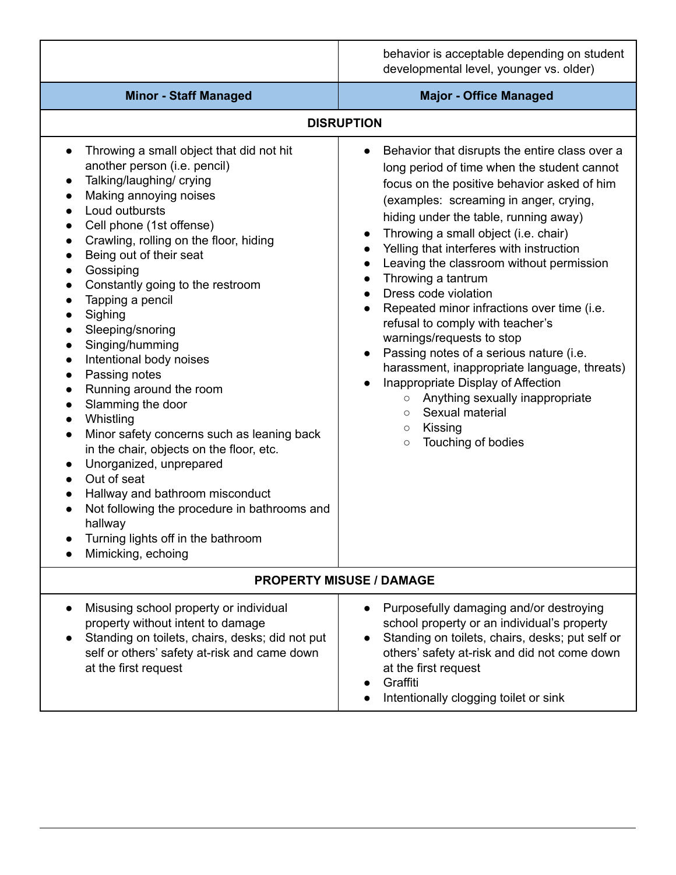|                                                                                                                                                                                                                                                                                                                                                                                                                                                                                                                                                                                                                                                                                                                                                                                                                                                                                                                                                                                                                                                     | behavior is acceptable depending on student<br>developmental level, younger vs. older)                                                                                                                                                                                                                                                                                                                                                                                                                                                                                                                                                                                                                                                                                                                                                               |  |
|-----------------------------------------------------------------------------------------------------------------------------------------------------------------------------------------------------------------------------------------------------------------------------------------------------------------------------------------------------------------------------------------------------------------------------------------------------------------------------------------------------------------------------------------------------------------------------------------------------------------------------------------------------------------------------------------------------------------------------------------------------------------------------------------------------------------------------------------------------------------------------------------------------------------------------------------------------------------------------------------------------------------------------------------------------|------------------------------------------------------------------------------------------------------------------------------------------------------------------------------------------------------------------------------------------------------------------------------------------------------------------------------------------------------------------------------------------------------------------------------------------------------------------------------------------------------------------------------------------------------------------------------------------------------------------------------------------------------------------------------------------------------------------------------------------------------------------------------------------------------------------------------------------------------|--|
| <b>Minor - Staff Managed</b>                                                                                                                                                                                                                                                                                                                                                                                                                                                                                                                                                                                                                                                                                                                                                                                                                                                                                                                                                                                                                        | <b>Major - Office Managed</b>                                                                                                                                                                                                                                                                                                                                                                                                                                                                                                                                                                                                                                                                                                                                                                                                                        |  |
| <b>DISRUPTION</b>                                                                                                                                                                                                                                                                                                                                                                                                                                                                                                                                                                                                                                                                                                                                                                                                                                                                                                                                                                                                                                   |                                                                                                                                                                                                                                                                                                                                                                                                                                                                                                                                                                                                                                                                                                                                                                                                                                                      |  |
| Throwing a small object that did not hit<br>$\bullet$<br>another person (i.e. pencil)<br>Talking/laughing/ crying<br>$\bullet$<br>Making annoying noises<br>$\bullet$<br>Loud outbursts<br>$\bullet$<br>Cell phone (1st offense)<br>Crawling, rolling on the floor, hiding<br>$\bullet$<br>Being out of their seat<br>$\bullet$<br>Gossiping<br>$\bullet$<br>Constantly going to the restroom<br>Tapping a pencil<br>$\bullet$<br>Sighing<br>$\bullet$<br>Sleeping/snoring<br>$\bullet$<br>Singing/humming<br>$\bullet$<br>Intentional body noises<br>$\bullet$<br>Passing notes<br>$\bullet$<br>Running around the room<br>$\bullet$<br>Slamming the door<br>$\bullet$<br>Whistling<br>$\bullet$<br>Minor safety concerns such as leaning back<br>$\bullet$<br>in the chair, objects on the floor, etc.<br>Unorganized, unprepared<br>$\bullet$<br>Out of seat<br>$\bullet$<br>Hallway and bathroom misconduct<br>$\bullet$<br>Not following the procedure in bathrooms and<br>hallway<br>Turning lights off in the bathroom<br>Mimicking, echoing | Behavior that disrupts the entire class over a<br>long period of time when the student cannot<br>focus on the positive behavior asked of him<br>(examples: screaming in anger, crying,<br>hiding under the table, running away)<br>Throwing a small object (i.e. chair)<br>$\bullet$<br>Yelling that interferes with instruction<br>Leaving the classroom without permission<br>$\bullet$<br>Throwing a tantrum<br>Dress code violation<br>$\bullet$<br>Repeated minor infractions over time (i.e.<br>refusal to comply with teacher's<br>warnings/requests to stop<br>Passing notes of a serious nature (i.e.<br>$\bullet$<br>harassment, inappropriate language, threats)<br>Inappropriate Display of Affection<br>Anything sexually inappropriate<br>$\circ$<br>Sexual material<br>$\circ$<br>Kissing<br>$\circ$<br>Touching of bodies<br>$\circ$ |  |
| <b>PROPERTY MISUSE / DAMAGE</b>                                                                                                                                                                                                                                                                                                                                                                                                                                                                                                                                                                                                                                                                                                                                                                                                                                                                                                                                                                                                                     |                                                                                                                                                                                                                                                                                                                                                                                                                                                                                                                                                                                                                                                                                                                                                                                                                                                      |  |
| Misusing school property or individual<br>$\bullet$<br>property without intent to damage<br>Standing on toilets, chairs, desks; did not put<br>self or others' safety at-risk and came down<br>at the first request                                                                                                                                                                                                                                                                                                                                                                                                                                                                                                                                                                                                                                                                                                                                                                                                                                 | Purposefully damaging and/or destroying<br>school property or an individual's property<br>Standing on toilets, chairs, desks; put self or<br>others' safety at-risk and did not come down<br>at the first request<br>Graffiti<br>Intentionally clogging toilet or sink                                                                                                                                                                                                                                                                                                                                                                                                                                                                                                                                                                               |  |